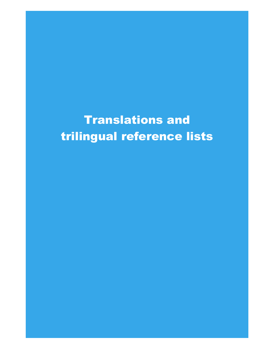# Translations and trilingual reference lists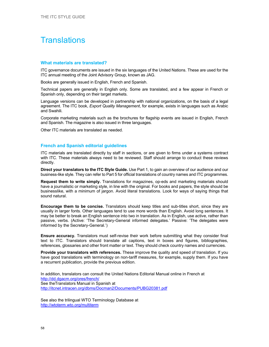## **Translations**

#### **What materials are translated?**

ITC governance documents are issued in the six languages of the United Nations. These are used for the ITC annual meeting of the Joint Advisory Group, known as JAG.

Books are generally issued in English, French and Spanish.

Technical papers are generally in English only. Some are translated, and a few appear in French or Spanish only, depending on their target markets.

Language versions can be developed in partnership with national organizations, on the basis of a legal agreement. The ITC book, *Export Quality Management*, for example, exists in languages such as Arabic and Swahili.

Corporate marketing materials such as the brochures for flagship events are issued in English, French and Spanish. The magazine is also issued in three languages.

Other ITC materials are translated as needed.

#### **French and Spanish editorial guidelines**

ITC materials are translated directly by staff in sections, or are given to firms under a systems contract with ITC. These materials always need to be reviewed. Staff should arrange to conduct these reviews directly.

**Direct your translators to the ITC Style Guide.** Use Part 1, to gain an overview of our audience and our business-like style. They can refer to Part 5 for official translations of country names and ITC programmes.

**Request them to write simply.** Translations for magazines, op-eds and marketing materials should have a journalistic or marketing style, in line with the original. For books and papers, the style should be businesslike, with a minimum of jargon. Avoid literal translations. Look for ways of saying things that sound natural.

**Encourage them to be concise.** Translators should keep titles and sub-titles short, since they are usually in larger fonts. Other languages tend to use more words than English. Avoid long sentences. It may be better to break an English sentence into two in translation. As in English, use active, rather than passive, verbs. (Active: 'The Secretary-General informed delegates.' Passive: 'The delegates were informed by the Secretary-General.')

**Ensure accuracy.** Translators must self-revise their work before submitting what they consider final text to ITC. Translators should translate all captions, text in boxes and figures, bibliographies, references, glossaries and other front matter or text. They should check country names and currencies.

**Provide your translators with references.** These improve the quality and speed of translation. If you have good translations with terminology on non-tariff measures, for example, supply them. If you have a recurrent publication, provide the previous edition.

In addition, translators can consult the United Nations Editorial Manual online in French at http://dd.dgacm.org/ores/french/ See theTranslators Manual in Spanish at http://itcnet.intracen.org/dbms/Docman2/Documents/PUBG20381.pdf

See also the trilingual WTO Terminology Database at http://wtoterm.wto.org/multiterm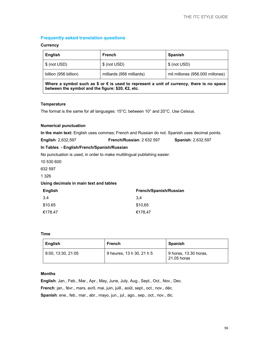#### **Frequently asked translation questions**

#### **Currency**

| <b>English</b>                                     | <b>French</b> | <b>Spanish</b>                  |
|----------------------------------------------------|---------------|---------------------------------|
| $\sqrt{\$}$ (not USD)                              | \$ (not USD)  | \$ (not USD)                    |
| milliards (956 milliards)<br>billion (956 billion) |               | mil millones (956.000 millones) |
|                                                    |               |                                 |

**Where a symbol such as \$ or € is used to represent a unit of currency, there is no space between the symbol and the figure: \$20, €2, etc.** 

#### **Temperature**

The format is the same for all languages: 15°C; between 10° and 20°C. Use Celsius.

#### **Numerical punctuation**

**In the main text:** English uses commas; French and Russian do not. Spanish uses decimal points.

| French/Russian: 2 632 597<br><b>English: 2,632,597</b> | <b>Spanish: 2.632.597</b> |
|--------------------------------------------------------|---------------------------|
|--------------------------------------------------------|---------------------------|

#### **In Tables - English/French/Spanish/Russian**

No punctuation is used, in order to make multilingual publishing easier.

10 530 600

632 597

1 326

#### **Using decimals in main text and tables**

| <b>English</b> | French/Spanish/Russian |
|----------------|------------------------|
| 3.4            | 3.4                    |
| \$10.65        | \$10.65                |
| €178.47        | €178,47                |

#### **Time**

| English            | French                    | <b>Spanish</b>                       |
|--------------------|---------------------------|--------------------------------------|
| 9:00, 13:30, 21:05 | 9 heures, 13 h 30, 21 h 5 | 9 horas, 13.30 horas,<br>21.05 horas |

#### **Months**

**English**: Jan., Feb., Mar., Apr., May, June, July, Aug., Sept., Oct., Nov., Dec. **French**: jan., févr., mars, avril, mai, juin, juill., août, sept., oct., nov., déc. **Spanish**: ene., feb., mar., abr., mayo, jun., jul., ago., sep., oct., nov., dic.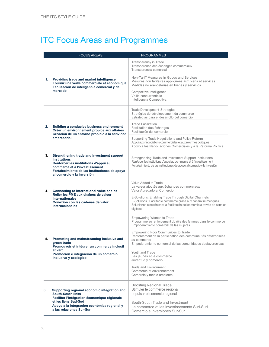# ITC Focus Areas and Programmes

|    | <b>FOCUS AREAS</b>                                                                                                                                                                                                          | <b>PROGRAMMES</b>                                                                                                                                                                                                 |
|----|-----------------------------------------------------------------------------------------------------------------------------------------------------------------------------------------------------------------------------|-------------------------------------------------------------------------------------------------------------------------------------------------------------------------------------------------------------------|
| 1. | Providing trade and market intelligence<br>Fournir une veille commerciale et économique<br>Facilitación de inteligencia comercial y de<br>mercado                                                                           | Transparency in Trade<br>Transparence des échanges commerciaux<br>Transparencia comercial                                                                                                                         |
|    |                                                                                                                                                                                                                             | Non-Tariff Measures in Goods and Services<br>Mesures non tarifaires appliquées aux biens et services<br>Medidas no arancelarias en bienes y servicios                                                             |
|    |                                                                                                                                                                                                                             | Competitive Intelligence<br>Veille concurrentielle<br>Inteligencia Competitiva                                                                                                                                    |
| 2. | Building a conducive business environment<br>Créer un environnement propice aux affaires<br>Creación de un entorno propicio a la actividad                                                                                  | <b>Trade Development Strategies</b><br>Stratégies de développement du commerce<br>Estrategias para el desarrollo del comercio                                                                                     |
|    |                                                                                                                                                                                                                             | <b>Trade Facilitation</b><br>Facilitation des échanges<br>Facilitación del comercio                                                                                                                               |
|    | empresarial                                                                                                                                                                                                                 | Supporting Trade Negotiations and Policy Reform<br>Appui aux négociations commerciales et aux réformes politiques<br>Apoyo a las Negociaciones Comerciales y a la Reforma Política                                |
| 3. | Strengthening trade and investment support<br><b>institutions</b><br>Renforcer les institutions d'appui au<br>commerce et à l'investissement<br>Fortalecimiento de las instituciones de apoyo<br>al comercio y la inversión | Strengthening Trade and Investment Support Institutions<br>Renforcer les institutions d'appui au commerce et à l'investissement<br>Fortalecimiento de las instituciones de apoyo al comercio y la inversión       |
| 4. | Connecting to international value chains<br>Relier les PME aux chaînes de valeur<br><b>internationales</b><br>Conexión con las cadenas de valor<br><b>internacionales</b>                                                   | Value Added to Trade<br>La valeur ajoutée aux échanges commerciaux<br>Valor Agregado al Comercio                                                                                                                  |
|    |                                                                                                                                                                                                                             | E-Solutions: Enabling Trade Through Digital Channels<br>E-Solutions : Faciliter le commerce grâce aux canaux numériques<br>Soluciones electrónicas: la facilitación del comercio a través de canales<br>digitales |
| 5. | Promoting and mainstreaming inclusive and<br>green trade<br>Promouvoir et intégrer un commerce inclusif<br>et vert<br>Promoción e integración de un comercio<br>inclusivo y ecológico                                       | <b>Empowering Women to Trade</b><br>Programme au renforcement du rôle des femmes dans le commerce<br>Empoderamiento comercial de las mujeres                                                                      |
|    |                                                                                                                                                                                                                             | <b>Empowering Poor Communities to Trade</b><br>Renforcement de la participation des communautés défavorisées<br>au commerce<br>Empoderamiento comercial de las comunidades desfavorecidas                         |
|    |                                                                                                                                                                                                                             | Youth and Trade<br>Les jeunes et le commerce<br>Juventud y comercio                                                                                                                                               |
|    |                                                                                                                                                                                                                             | <b>Trade and Environment</b><br>Commerce et environnement<br>Comercio y medio ambiente                                                                                                                            |
| 6. | Supporting regional economic integration and<br><b>South-South links</b><br>Faciliter l'intégration économique régionale                                                                                                    | <b>Boosting Regional Trade</b><br>Stimuler le commerce regional<br>Impulsar el comercio regional                                                                                                                  |
|    | et les liens Sud-Sud<br>Apoyo a la integración económica regional y<br>a las relaciones Sur-Sur                                                                                                                             | South-South Trade and Investment<br>Le commerce et les investissements Sud-Sud<br>Comercio e inversiones Sur-Sur                                                                                                  |